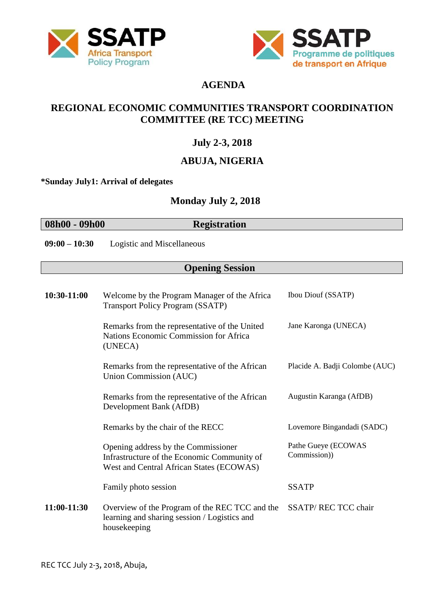



# **AGENDA**

## **REGIONAL ECONOMIC COMMUNITIES TRANSPORT COORDINATION COMMITTEE (RE TCC) MEETING**

# **July 2-3, 2018**

# **ABUJA, NIGERIA**

**\*Sunday July1: Arrival of delegates**

## **Monday July 2, 2018**

**08h00 - 09h00 Registration**

**09:00 – 10:30** Logistic and Miscellaneous

## **Opening Session**

| 10:30-11:00 | Welcome by the Program Manager of the Africa<br><b>Transport Policy Program (SSATP)</b>                                        | <b>Ibou Diouf (SSATP)</b>           |
|-------------|--------------------------------------------------------------------------------------------------------------------------------|-------------------------------------|
|             | Remarks from the representative of the United<br>Nations Economic Commission for Africa<br>(UNECA)                             | Jane Karonga (UNECA)                |
|             | Remarks from the representative of the African<br>Union Commission (AUC)                                                       | Placide A. Badji Colombe (AUC)      |
|             | Remarks from the representative of the African<br>Development Bank (AfDB)                                                      | Augustin Karanga (AfDB)             |
|             | Remarks by the chair of the RECC                                                                                               | Lovemore Bingandadi (SADC)          |
|             | Opening address by the Commissioner<br>Infrastructure of the Economic Community of<br>West and Central African States (ECOWAS) | Pathe Gueye (ECOWAS<br>Commission)) |
|             | Family photo session                                                                                                           | <b>SSATP</b>                        |
| 11:00-11:30 | Overview of the Program of the REC TCC and the<br>learning and sharing session / Logistics and<br>housekeeping                 | <b>SSATP/REC TCC chair</b>          |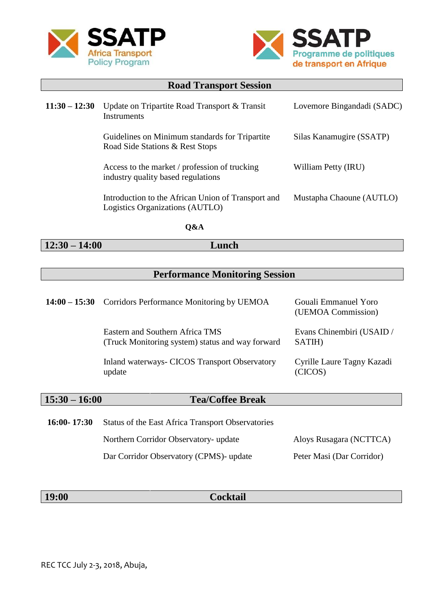



| <b>Road Transport Session</b> |                                                                                       |                            |
|-------------------------------|---------------------------------------------------------------------------------------|----------------------------|
| $11:30 - 12:30$               | Update on Tripartite Road Transport & Transit<br>Instruments                          | Lovemore Bingandadi (SADC) |
|                               | Guidelines on Minimum standards for Tripartite<br>Road Side Stations & Rest Stops     | Silas Kanamugire (SSATP)   |
|                               | Access to the market / profession of trucking<br>industry quality based regulations   | William Petty (IRU)        |
|                               | Introduction to the African Union of Transport and<br>Logistics Organizations (AUTLO) | Mustapha Chaoune (AUTLO)   |

**Q&A**

**12:30 – 14:00 Lunch**

# **Performance Monitoring Session**

| $14:00 - 15:30$ | Corridors Performance Monitoring by UEMOA                                           | Gouali Emmanuel Yoro<br>(UEMOA Commission) |
|-----------------|-------------------------------------------------------------------------------------|--------------------------------------------|
|                 | Eastern and Southern Africa TMS<br>(Truck Monitoring system) status and way forward | Evans Chinembiri (USAID /<br>SATIH)        |
|                 | Inland waterways- CICOS Transport Observatory<br>update                             | Cyrille Laure Tagny Kazadi<br>(CICOS)      |
| $15:30 - 16:00$ | <b>Tea/Coffee Break</b>                                                             |                                            |
| $16:00 - 17:30$ | Status of the East Africa Transport Observatories                                   |                                            |
|                 | Northern Corridor Observatory- update                                               | Aloys Rusagara (NCTTCA)                    |
|                 | Dar Corridor Observatory (CPMS)- update                                             | Peter Masi (Dar Corridor)                  |

|  | <b>19:00</b> | <b>Cocktail</b> |  |
|--|--------------|-----------------|--|
|--|--------------|-----------------|--|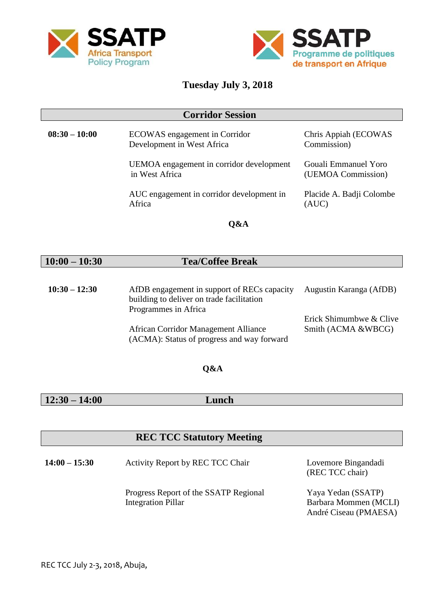



## **Tuesday July 3, 2018**

#### **Corridor Session**

| $08:30 - 10:00$ | ECOWAS engagement in Corridor<br>Development in West Africa | Chris Appiah (ECOWAS<br>Commission)        |
|-----------------|-------------------------------------------------------------|--------------------------------------------|
|                 | UEMOA engagement in corridor development<br>in West Africa  | Gouali Emmanuel Yoro<br>(UEMOA Commission) |
|                 | AUC engagement in corridor development in<br>Africa         | Placide A. Badji Colombe<br>(AUC)          |
|                 | $\sim$ $\sim$ $\sim$                                        |                                            |

**Q&A**

#### **10:00 – 10:30 Tea/Coffee Break**

| $10:30 - 12:30$ | AfDB engagement in support of RECs capacity | Augustin Karanga (AfDB) |
|-----------------|---------------------------------------------|-------------------------|
|                 | building to deliver on trade facilitation   |                         |
|                 | Programmes in Africa                        |                         |
|                 |                                             | Erick Shimumbwe & Clive |
|                 | African Corridor Management Alliance        | Smith (ACMA &WBCG)      |
|                 | (ACMA): Status of progress and way forward  |                         |

#### **Q&A**

# **12:30 – 14:00 Lunch**

### **REC TCC Statutory Meeting**

**14:00 – 15:30** Activity Report by REC TCC Chair Progress Report of the SSATP Regional Integration Pillar Lovemore Bingandadi (REC TCC chair) Yaya Yedan (SSATP) Barbara Mommen (MCLI) André Ciseau (PMAESA)